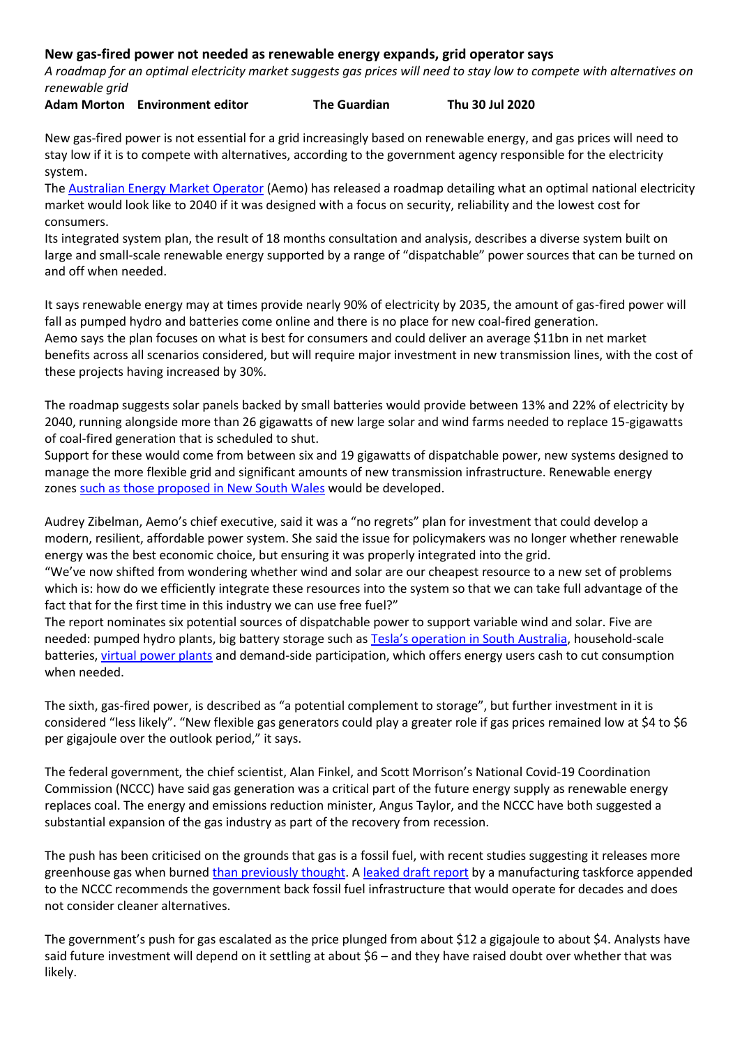## **New gas-fired power not needed as renewable energy expands, grid operator says**

*A roadmap for an optimal electricity market suggests gas prices will need to stay low to compete with alternatives on renewable grid*

## **Adam Morton Environment editor The Guardian Thu 30 Jul 2020**

New gas-fired power is not essential for a grid increasingly based on renewable energy, and gas prices will need to stay low if it is to compete with alternatives, according to the government agency responsible for the electricity system.

The [Australian Energy Market Operator](https://aemo.com.au/en) (Aemo) has released a roadmap detailing what an optimal national electricity market would look like to 2040 if it was designed with a focus on security, reliability and the lowest cost for consumers.

Its integrated system plan, the result of 18 months consultation and analysis, describes a diverse system built on large and small-scale renewable energy supported by a range of "dispatchable" power sources that can be turned on and off when needed.

It says renewable energy may at times provide nearly 90% of electricity by 2035, the amount of gas-fired power will fall as pumped hydro and batteries come online and there is no place for new coal-fired generation. Aemo says the plan focuses on what is best for consumers and could deliver an average \$11bn in net market benefits across all scenarios considered, but will require major investment in new transmission lines, with the cost of these projects having increased by 30%.

The roadmap suggests solar panels backed by small batteries would provide between 13% and 22% of electricity by 2040, running alongside more than 26 gigawatts of new large solar and wind farms needed to replace 15-gigawatts of coal-fired generation that is scheduled to shut.

Support for these would come from between six and 19 gigawatts of dispatchable power, new systems designed to manage the more flexible grid and significant amounts of new transmission infrastructure. Renewable energy zones [such as those proposed in New South Wales](https://www.theguardian.com/australia-news/2020/jul/10/nsw-government-says-renewable-energy-zone-in-new-england-could-power-35m-homes) would be developed.

Audrey Zibelman, Aemo's chief executive, said it was a "no regrets" plan for investment that could develop a modern, resilient, affordable power system. She said the issue for policymakers was no longer whether renewable energy was the best economic choice, but ensuring it was properly integrated into the grid.

"We've now shifted from wondering whether wind and solar are our cheapest resource to a new set of problems which is: how do we efficiently integrate these resources into the system so that we can take full advantage of the fact that for the first time in this industry we can use free fuel?"

The report nominates six potential sources of dispatchable power to support variable wind and solar. Five are needed: pumped hydro plants, big battery storage such as [Tesla's operation in South Australia](https://www.theguardian.com/technology/2019/feb/18/tesla-big-battery-is-holding-its-own-in-a-burgeoning-energy-storage-market), household-scale batteries, [virtual power plants](https://www.theguardian.com/australia-news/2019/nov/16/power-to-the-people-how-suburban-solar-could-become-the-uber-of-the-energy-grid) and demand-side participation, which offers energy users cash to cut consumption when needed.

The sixth, gas-fired power, is described as "a potential complement to storage", but further investment in it is considered "less likely". "New flexible gas generators could play a greater role if gas prices remained low at \$4 to \$6 per gigajoule over the outlook period," it says.

The federal government, the chief scientist, Alan Finkel, and Scott Morrison's National Covid-19 Coordination Commission (NCCC) have said gas generation was a critical part of the future energy supply as renewable energy replaces coal. The energy and emissions reduction minister, Angus Taylor, and the NCCC have both suggested a substantial expansion of the gas industry as part of the recovery from recession.

The push has been criticised on the grounds that gas is a fossil fuel, with recent studies suggesting it releases more greenhouse gas when burned [than previously thought.](https://www.theguardian.com/environment/2020/feb/19/oil-gas-industry-far-worse-climate-impact-than-thought-fossil-fuels-methane) A [leaked draft report](https://www.theguardian.com/environment/2020/may/21/leaked-covid-19-commission-report-calls-for-australian-taxpayers-to-underwrite-gas-industry-expansion) by a manufacturing taskforce appended to the NCCC recommends the government back fossil fuel infrastructure that would operate for decades and does not consider cleaner alternatives.

The government's push for gas escalated as the price plunged from about \$12 a gigajoule to about \$4. Analysts have said future investment will depend on it settling at about \$6 – and they have raised doubt over whether that was likely.